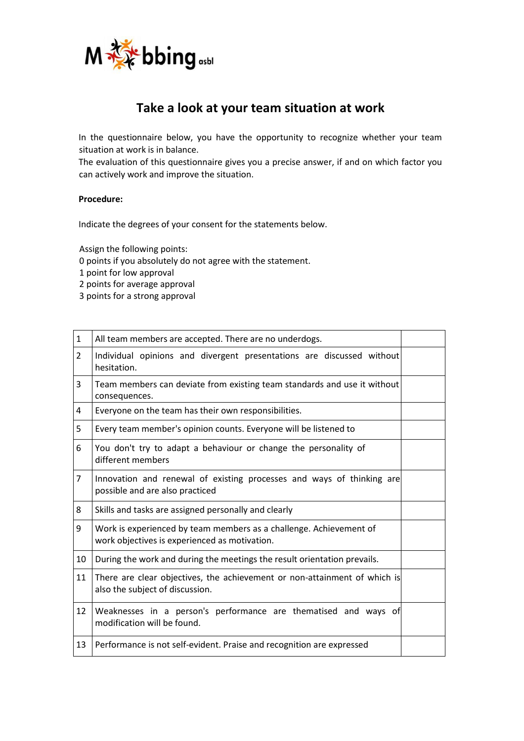

# **Take a look at your team situation at work**

In the questionnaire below, you have the opportunity to recognize whether your team situation at work is in balance.

The evaluation of this questionnaire gives you a precise answer, if and on which factor you can actively work and improve the situation.

## **Procedure:**

Indicate the degrees of your consent for the statements below.

Assign the following points:

0 points if you absolutely do not agree with the statement.

1 point for low approval

2 points for average approval

3 points for a strong approval

| $\mathbf{1}$   | All team members are accepted. There are no underdogs.                                                              |  |
|----------------|---------------------------------------------------------------------------------------------------------------------|--|
| $\overline{2}$ | Individual opinions and divergent presentations are discussed without<br>hesitation.                                |  |
| 3              | Team members can deviate from existing team standards and use it without<br>consequences.                           |  |
| 4              | Everyone on the team has their own responsibilities.                                                                |  |
| 5              | Every team member's opinion counts. Everyone will be listened to                                                    |  |
| 6              | You don't try to adapt a behaviour or change the personality of<br>different members                                |  |
| $\overline{7}$ | Innovation and renewal of existing processes and ways of thinking are<br>possible and are also practiced            |  |
| 8              | Skills and tasks are assigned personally and clearly                                                                |  |
| 9              | Work is experienced by team members as a challenge. Achievement of<br>work objectives is experienced as motivation. |  |
| 10             | During the work and during the meetings the result orientation prevails.                                            |  |
| 11             | There are clear objectives, the achievement or non-attainment of which is<br>also the subject of discussion.        |  |
| 12             | Weaknesses in a person's performance are thematised and ways of<br>modification will be found.                      |  |
| 13             | Performance is not self-evident. Praise and recognition are expressed                                               |  |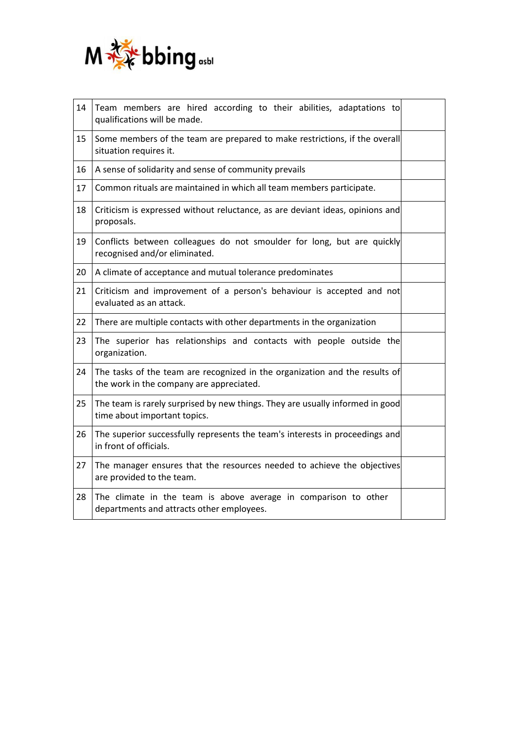

| 14 | Team members are hired according to their abilities, adaptations to<br>qualifications will be made.                     |  |
|----|-------------------------------------------------------------------------------------------------------------------------|--|
| 15 | Some members of the team are prepared to make restrictions, if the overall<br>situation requires it.                    |  |
| 16 | A sense of solidarity and sense of community prevails                                                                   |  |
| 17 | Common rituals are maintained in which all team members participate.                                                    |  |
| 18 | Criticism is expressed without reluctance, as are deviant ideas, opinions and<br>proposals.                             |  |
| 19 | Conflicts between colleagues do not smoulder for long, but are quickly<br>recognised and/or eliminated.                 |  |
| 20 | A climate of acceptance and mutual tolerance predominates                                                               |  |
| 21 | Criticism and improvement of a person's behaviour is accepted and not<br>evaluated as an attack.                        |  |
| 22 | There are multiple contacts with other departments in the organization                                                  |  |
| 23 | The superior has relationships and contacts with people outside the<br>organization.                                    |  |
| 24 | The tasks of the team are recognized in the organization and the results of<br>the work in the company are appreciated. |  |
| 25 | The team is rarely surprised by new things. They are usually informed in good<br>time about important topics.           |  |
| 26 | The superior successfully represents the team's interests in proceedings and<br>in front of officials.                  |  |
| 27 | The manager ensures that the resources needed to achieve the objectives<br>are provided to the team.                    |  |
| 28 | The climate in the team is above average in comparison to other<br>departments and attracts other employees.            |  |